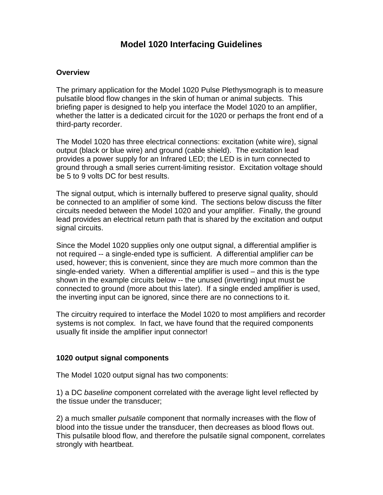# **Model 1020 Interfacing Guidelines**

#### **Overview**

The primary application for the Model 1020 Pulse Plethysmograph is to measure pulsatile blood flow changes in the skin of human or animal subjects. This briefing paper is designed to help you interface the Model 1020 to an amplifier, whether the latter is a dedicated circuit for the 1020 or perhaps the front end of a third-party recorder.

The Model 1020 has three electrical connections: excitation (white wire), signal output (black or blue wire) and ground (cable shield). The excitation lead provides a power supply for an Infrared LED; the LED is in turn connected to ground through a small series current-limiting resistor. Excitation voltage should be 5 to 9 volts DC for best results.

The signal output, which is internally buffered to preserve signal quality, should be connected to an amplifier of some kind. The sections below discuss the filter circuits needed between the Model 1020 and your amplifier. Finally, the ground lead provides an electrical return path that is shared by the excitation and output signal circuits.

Since the Model 1020 supplies only one output signal, a differential amplifier is not required -- a single-ended type is sufficient. A differential amplifier can be used, however; this is convenient, since they are much more common than the single-ended variety. When a differential amplifier is used – and this is the type shown in the example circuits below -- the unused (inverting) input must be connected to ground (more about this later). If a single ended amplifier is used, the inverting input can be ignored, since there are no connections to it.

The circuitry required to interface the Model 1020 to most amplifiers and recorder systems is not complex. In fact, we have found that the required components usually fit inside the amplifier input connector!

#### **1020 output signal components**

The Model 1020 output signal has two components:

1) a DC baseline component correlated with the average light level reflected by the tissue under the transducer;

2) a much smaller *pulsatile* component that normally increases with the flow of blood into the tissue under the transducer, then decreases as blood flows out. This pulsatile blood flow, and therefore the pulsatile signal component, correlates strongly with heartbeat.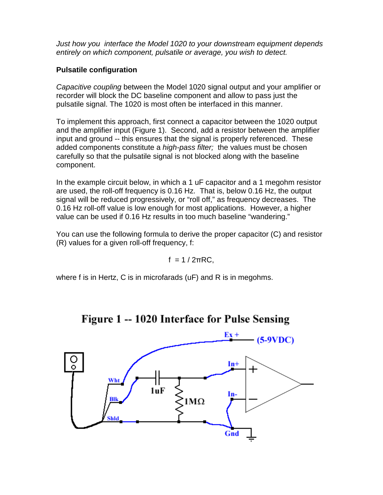Just how you interface the Model 1020 to your downstream equipment depends entirely on which component, pulsatile or average, you wish to detect.

## **Pulsatile configuration**

Capacitive coupling between the Model 1020 signal output and your amplifier or recorder will block the DC baseline component and allow to pass just the pulsatile signal. The 1020 is most often be interfaced in this manner.

To implement this approach, first connect a capacitor between the 1020 output and the amplifier input (Figure 1). Second, add a resistor between the amplifier input and ground -- this ensures that the signal is properly referenced. These added components constitute a *high-pass filter;* the values must be chosen carefully so that the pulsatile signal is not blocked along with the baseline component.

In the example circuit below, in which a 1 uF capacitor and a 1 megohm resistor are used, the roll-off frequency is 0.16 Hz. That is, below 0.16 Hz, the output signal will be reduced progressively, or "roll off," as frequency decreases. The 0.16 Hz roll-off value is low enough for most applications. However, a higher value can be used if 0.16 Hz results in too much baseline "wandering."

You can use the following formula to derive the proper capacitor (C) and resistor (R) values for a given roll-off frequency, f:

$$
f = 1 / 2\pi RC,
$$

where f is in Hertz, C is in microfarads (uF) and R is in megohms.



Figure 1 -- 1020 Interface for Pulse Sensing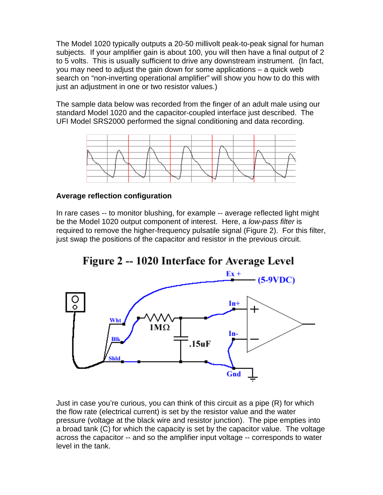The Model 1020 typically outputs a 20-50 millivolt peak-to-peak signal for human subjects. If your amplifier gain is about 100, you will then have a final output of 2 to 5 volts. This is usually sufficient to drive any downstream instrument. (In fact, you may need to adjust the gain down for some applications – a quick web search on "non-inverting operational amplifier" will show you how to do this with just an adjustment in one or two resistor values.)

The sample data below was recorded from the finger of an adult male using our standard Model 1020 and the capacitor-coupled interface just described. The UFI Model SRS2000 performed the signal conditioning and data recording.



### **Average reflection configuration**

In rare cases -- to monitor blushing, for example -- average reflected light might be the Model 1020 output component of interest. Here, a low-pass filter is required to remove the higher-frequency pulsatile signal (Figure 2). For this filter, just swap the positions of the capacitor and resistor in the previous circuit.



Just in case you're curious, you can think of this circuit as a pipe (R) for which the flow rate (electrical current) is set by the resistor value and the water pressure (voltage at the black wire and resistor junction). The pipe empties into a broad tank (C) for which the capacity is set by the capacitor value. The voltage across the capacitor -- and so the amplifier input voltage -- corresponds to water level in the tank.